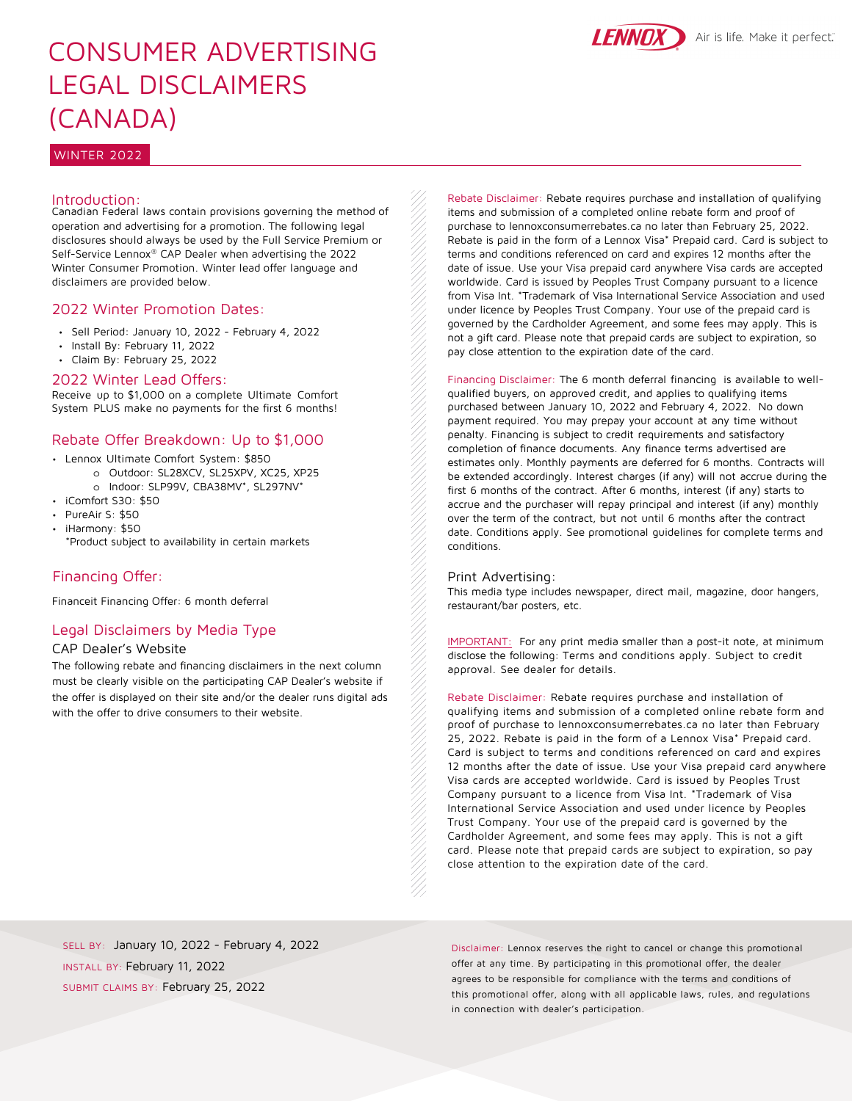

# CONSUMER ADVERTISING LEGAL DISCLAIMERS (CANADA)

WINTER 2022

## Introduction:

Canadian Federal laws contain provisions governing the method of operation and advertising for a promotion. The following legal disclosures should always be used by the Full Service Premium or Self-Service Lennox® CAP Dealer when advertising the 2022 Winter Consumer Promotion. Winter lead offer language and disclaimers are provided below.

## 2022 Winter Promotion Dates:

- Sell Period: January 10, 2022 February 4, 2022
- Install By: February 11, 2022
- Claim By: February 25, 2022

## 2022 Winter Lead Offers:

Receive up to \$1,000 on a complete Ultimate Comfort System PLUS make no payments for the first 6 months!

# Rebate Offer Breakdown: Up to \$1,000

- Lennox Ultimate Comfort System: \$850
	- o Outdoor: SL28XCV, SL25XPV, XC25, XP25
		- o Indoor: SLP99V, CBA38MV\*, SL297NV\*
- iComfort S30: \$50
- PureAir S: \$50 • iHarmony: \$50
- \*Product subject to availability in certain markets

# Financing Offer:

Financeit Financing Offer: 6 month deferral

# Legal Disclaimers by Media Type

### CAP Dealer's Website

The following rebate and financing disclaimers in the next column must be clearly visible on the participating CAP Dealer's website if the offer is displayed on their site and/or the dealer runs digital ads with the offer to drive consumers to their website.

Rebate Disclaimer: Rebate requires purchase and installation of qualifying items and submission of a completed online rebate form and proof of purchase to lennoxconsumerrebates.ca no later than February 25, 2022. Rebate is paid in the form of a Lennox Visa\* Prepaid card. Card is subject to terms and conditions referenced on card and expires 12 months after the date of issue. Use your Visa prepaid card anywhere Visa cards are accepted worldwide. Card is issued by Peoples Trust Company pursuant to a licence from Visa Int. \*Trademark of Visa International Service Association and used under licence by Peoples Trust Company. Your use of the prepaid card is governed by the Cardholder Agreement, and some fees may apply. This is not a gift card. Please note that prepaid cards are subject to expiration, so pay close attention to the expiration date of the card.

Financing Disclaimer: The 6 month deferral financing is available to wellqualified buyers, on approved credit, and applies to qualifying items purchased between January 10, 2022 and February 4, 2022. No down payment required. You may prepay your account at any time without penalty. Financing is subject to credit requirements and satisfactory completion of finance documents. Any finance terms advertised are estimates only. Monthly payments are deferred for 6 months. Contracts will be extended accordingly. Interest charges (if any) will not accrue during the first 6 months of the contract. After 6 months, interest (if any) starts to accrue and the purchaser will repay principal and interest (if any) monthly over the term of the contract, but not until 6 months after the contract date. Conditions apply. See promotional guidelines for complete terms and conditions.

### Print Advertising:

This media type includes newspaper, direct mail, magazine, door hangers, restaurant/bar posters, etc.

IMPORTANT: For any print media smaller than a post-it note, at minimum disclose the following: Terms and conditions apply. Subject to credit approval. See dealer for details.

Rebate Disclaimer: Rebate requires purchase and installation of qualifying items and submission of a completed online rebate form and proof of purchase to lennoxconsumerrebates.ca no later than February 25, 2022. Rebate is paid in the form of a Lennox Visa\* Prepaid card. Card is subject to terms and conditions referenced on card and expires 12 months after the date of issue. Use your Visa prepaid card anywhere Visa cards are accepted worldwide. Card is issued by Peoples Trust Company pursuant to a licence from Visa Int. \*Trademark of Visa International Service Association and used under licence by Peoples Trust Company. Your use of the prepaid card is governed by the Cardholder Agreement, and some fees may apply. This is not a gift card. Please note that prepaid cards are subject to expiration, so pay close attention to the expiration date of the card.

SELL BY: January 10, 2022 - February 4, 2022 INSTALL BY: February 11, 2022 SUBMIT CLAIMS BY: February 25, 2022

Disclaimer: Lennox reserves the right to cancel or change this promotional offer at any time. By participating in this promotional offer, the dealer agrees to be responsible for compliance with the terms and conditions of this promotional offer, along with all applicable laws, rules, and regulations in connection with dealer's participation.